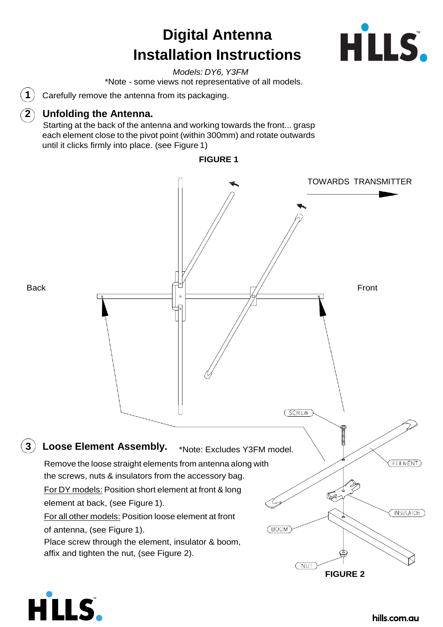# **Digital Antenna Installation Instructions**



*Models: DY6, Y3FM* \*Note - some views not representative of all models.

 $\bf (1)$  Carefully remove the antenna from its packaging.

#### **2 Unfolding the Antenna.**

HLLS.

Starting at the back of the antenna and working towards the front... grasp each element close to the pivot point (within 300mm) and rotate outwards until it clicks firmly into place. (see Figure 1)



#### **FIGURE 1**